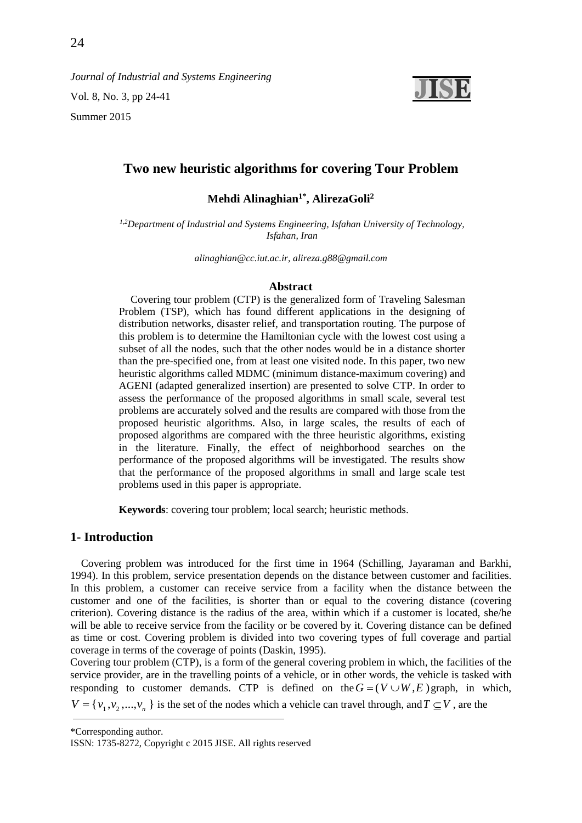*Journal of Industrial and Systems Engineering* Vol. 8, No. 3, pp 24-41 Summer 2015



# **Two new heuristic algorithms for covering Tour Problem**

# **Mehdi Alinaghian1\*, AlirezaGoli2**

*1,2Department of Industrial and Systems Engineering, Isfahan University of Technology, Isfahan, Iran*

*[alinaghian@cc.iut.ac.ir,](mailto:alinaghian@cc.iut.ac.ir) alireza.g88@gmail.com*

#### **Abstract**

 Covering tour problem (CTP) is the generalized form of Traveling Salesman Problem (TSP), which has found different applications in the designing of distribution networks, disaster relief, and transportation routing. The purpose of this problem is to determine the Hamiltonian cycle with the lowest cost using a subset of all the nodes, such that the other nodes would be in a distance shorter than the pre-specified one, from at least one visited node. In this paper, two new heuristic algorithms called MDMC (minimum distance-maximum covering) and AGENI (adapted generalized insertion) are presented to solve CTP. In order to assess the performance of the proposed algorithms in small scale, several test problems are accurately solved and the results are compared with those from the proposed heuristic algorithms. Also, in large scales, the results of each of proposed algorithms are compared with the three heuristic algorithms, existing in the literature. Finally, the effect of neighborhood searches on the performance of the proposed algorithms will be investigated. The results show that the performance of the proposed algorithms in small and large scale test problems used in this paper is appropriate.

**Keywords**: covering tour problem; local search; heuristic methods.

## **1- Introduction**

 Covering problem was introduced for the first time in 1964 (Schilling, Jayaraman and Barkhi, 1994). In this problem, service presentation depends on the distance between customer and facilities. In this problem, a customer can receive service from a facility when the distance between the customer and one of the facilities, is shorter than or equal to the covering distance (covering criterion). Covering distance is the radius of the area, within which if a customer is located, she/he will be able to receive service from the facility or be covered by it. Covering distance can be defined as time or cost. Covering problem is divided into two covering types of full coverage and partial coverage in terms of the coverage of points (Daskin, 1995).

Covering tour problem (CTP), is a form of the general covering problem in which, the facilities of the service provider, are in the travelling points of a vehicle, or in other words, the vehicle is tasked with responding to customer demands. CTP is defined on the  $G = (V \cup W, E)$  graph, in which,

 $V = \{v_1, v_2, ..., v_n\}$  is the set of the nodes which a vehicle can travel through, and  $T \subseteq V$ , are the

<sup>\*</sup>Corresponding author.

ISSN: 1735-8272, Copyright c 2015 JISE. All rights reserved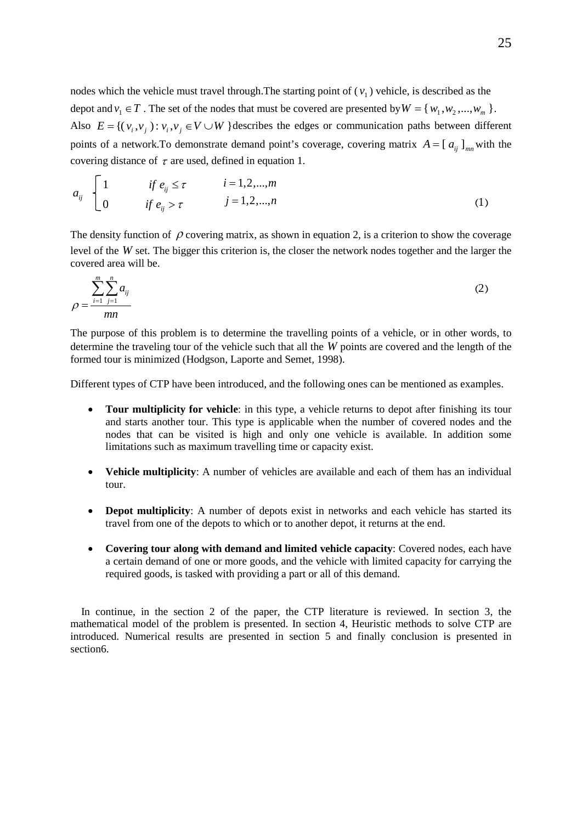nodes which the vehicle must travel through. The starting point of  $(v_1)$  vehicle, is described as the depot and  $v_1 \in T$ . The set of the nodes that must be covered are presented by  $W = \{w_1, w_2, ..., w_m\}$ . Also  $E = \{ (v_i, v_j) : v_i, v_j \in V \cup W \}$  describes the edges or communication paths between different points of a network. To demonstrate demand point's coverage, covering matrix  $A = [ a_{ii} ]_{mn}$  with the covering distance of  $\tau$  are used, defined in equation 1.

$$
a_{ij} \begin{cases} 1 & \text{if } e_{ij} \leq \tau \\ 0 & \text{if } e_{ij} > \tau \end{cases} \qquad i = 1, 2, ..., m
$$
 (1)

The density function of  $\rho$  covering matrix, as shown in equation 2, is a criterion to show the coverage level of the *W* set. The bigger this criterion is, the closer the network nodes together and the larger the covered area will be.

$$
\rho = \frac{\sum_{i=1}^{m} \sum_{j=1}^{n} a_{ij}}{mn}
$$
 (2)

The purpose of this problem is to determine the travelling points of a vehicle, or in other words, to determine the traveling tour of the vehicle such that all the *W* points are covered and the length of the formed tour is minimized (Hodgson, Laporte and Semet, 1998).

Different types of CTP have been introduced, and the following ones can be mentioned as examples.

- **Tour multiplicity for vehicle**: in this type, a vehicle returns to depot after finishing its tour and starts another tour. This type is applicable when the number of covered nodes and the nodes that can be visited is high and only one vehicle is available. In addition some limitations such as maximum travelling time or capacity exist.
- **Vehicle multiplicity**: A number of vehicles are available and each of them has an individual tour.
- **Depot multiplicity**: A number of depots exist in networks and each vehicle has started its travel from one of the depots to which or to another depot, it returns at the end.
- **Covering tour along with demand and limited vehicle capacity**: Covered nodes, each have a certain demand of one or more goods, and the vehicle with limited capacity for carrying the required goods, is tasked with providing a part or all of this demand.

 In continue, in the section 2 of the paper, the CTP literature is reviewed. In section 3, the mathematical model of the problem is presented. In section 4, Heuristic methods to solve CTP are introduced. Numerical results are presented in section 5 and finally conclusion is presented in section6.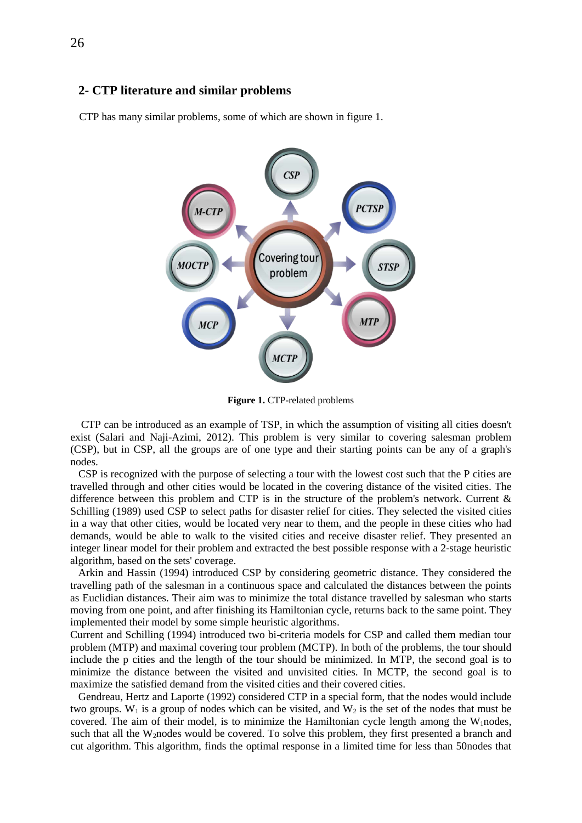## **2- CTP literature and similar problems**

CTP has many similar problems, some of which are shown in figure 1.



**Figure 1.** CTP-related problems

 CTP can be introduced as an example of TSP, in which the assumption of visiting all cities doesn't exist (Salari and Naji-Azimi, 2012). This problem is very similar to covering salesman problem (CSP), but in CSP, all the groups are of one type and their starting points can be any of a graph's nodes.

 CSP is recognized with the purpose of selecting a tour with the lowest cost such that the P cities are travelled through and other cities would be located in the covering distance of the visited cities. The difference between this problem and CTP is in the structure of the problem's network. Current  $\&$ Schilling (1989) used CSP to select paths for disaster relief for cities. They selected the visited cities in a way that other cities, would be located very near to them, and the people in these cities who had demands, would be able to walk to the visited cities and receive disaster relief. They presented an integer linear model for their problem and extracted the best possible response with a 2-stage heuristic algorithm, based on the sets' coverage.

 Arkin and Hassin (1994) introduced CSP by considering geometric distance. They considered the travelling path of the salesman in a continuous space and calculated the distances between the points as Euclidian distances. Their aim was to minimize the total distance travelled by salesman who starts moving from one point, and after finishing its Hamiltonian cycle, returns back to the same point. They implemented their model by some simple heuristic algorithms.

Current and Schilling (1994) introduced two bi-criteria models for CSP and called them median tour problem (MTP) and maximal covering tour problem (MCTP). In both of the problems, the tour should include the p cities and the length of the tour should be minimized. In MTP, the second goal is to minimize the distance between the visited and unvisited cities. In MCTP, the second goal is to maximize the satisfied demand from the visited cities and their covered cities.

 Gendreau, Hertz and Laporte (1992) considered CTP in a special form, that the nodes would include two groups. W<sub>1</sub> is a group of nodes which can be visited, and W<sub>2</sub> is the set of the nodes that must be covered. The aim of their model, is to minimize the Hamiltonian cycle length among the  $W_1$ nodes, such that all the W<sub>2</sub>nodes would be covered. To solve this problem, they first presented a branch and cut algorithm. This algorithm, finds the optimal response in a limited time for less than 50nodes that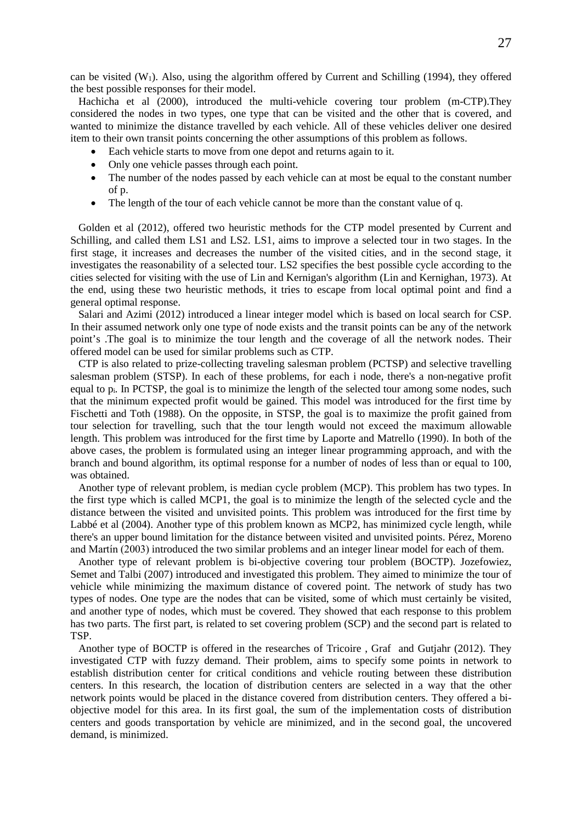can be visited  $(W_1)$ . Also, using the algorithm offered by Current and Schilling (1994), they offered the best possible responses for their model.

 Hachicha et al (2000), introduced the multi-vehicle covering tour problem (m-CTP).They considered the nodes in two types, one type that can be visited and the other that is covered, and wanted to minimize the distance travelled by each vehicle. All of these vehicles deliver one desired item to their own transit points concerning the other assumptions of this problem as follows.

- Each vehicle starts to move from one depot and returns again to it.
- Only one vehicle passes through each point.
- The number of the nodes passed by each vehicle can at most be equal to the constant number of p.
- The length of the tour of each vehicle cannot be more than the constant value of q.

 Golden et al (2012), offered two heuristic methods for the CTP model presented by Current and Schilling, and called them LS1 and LS2. LS1, aims to improve a selected tour in two stages. In the first stage, it increases and decreases the number of the visited cities, and in the second stage, it investigates the reasonability of a selected tour. LS2 specifies the best possible cycle according to the cities selected for visiting with the use of Lin and Kernigan's algorithm (Lin and Kernighan, 1973). At the end, using these two heuristic methods, it tries to escape from local optimal point and find a general optimal response.

 Salari and Azimi (2012) introduced a linear integer model which is based on local search for CSP. In their assumed network only one type of node exists and the transit points can be any of the network point's .The goal is to minimize the tour length and the coverage of all the network nodes. Their offered model can be used for similar problems such as CTP.

 CTP is also related to prize-collecting traveling salesman problem (PCTSP) and selective travelling salesman problem (STSP). In each of these problems, for each i node, there's a non-negative profit equal to  $p_i$ . In PCTSP, the goal is to minimize the length of the selected tour among some nodes, such that the minimum expected profit would be gained. This model was introduced for the first time by Fischetti and Toth (1988). On the opposite, in STSP, the goal is to maximize the profit gained from tour selection for travelling, such that the tour length would not exceed the maximum allowable length. This problem was introduced for the first time by Laporte and Matrello (1990). In both of the above cases, the problem is formulated using an integer linear programming approach, and with the branch and bound algorithm, its optimal response for a number of nodes of less than or equal to 100, was obtained.

 Another type of relevant problem, is median cycle problem (MCP). This problem has two types. In the first type which is called MCP1, the goal is to minimize the length of the selected cycle and the distance between the visited and unvisited points. This problem was introduced for the first time by Labbé et al (2004). Another type of this problem known as MCP2, has minimized cycle length, while there's an upper bound limitation for the distance between visited and unvisited points. Pérez, Moreno and Martín (2003) introduced the two similar problems and an integer linear model for each of them.

 Another type of relevant problem is bi-objective covering tour problem (BOCTP). Jozefowiez, Semet and Talbi (2007) introduced and investigated this problem. They aimed to minimize the tour of vehicle while minimizing the maximum distance of covered point. The network of study has two types of nodes. One type are the nodes that can be visited, some of which must certainly be visited, and another type of nodes, which must be covered. They showed that each response to this problem has two parts. The first part, is related to set covering problem (SCP) and the second part is related to TSP.

 Another type of BOCTP is offered in the researches of Tricoire , Graf and Gutjahr (2012). They investigated CTP with fuzzy demand. Their problem, aims to specify some points in network to establish distribution center for critical conditions and vehicle routing between these distribution centers. In this research, the location of distribution centers are selected in a way that the other network points would be placed in the distance covered from distribution centers. They offered a biobjective model for this area. In its first goal, the sum of the implementation costs of distribution centers and goods transportation by vehicle are minimized, and in the second goal, the uncovered demand, is minimized.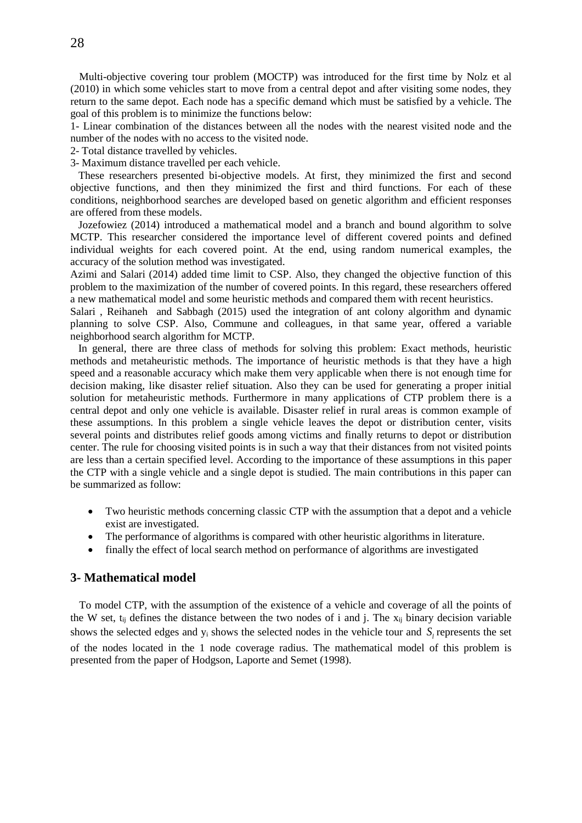Multi-objective covering tour problem (MOCTP) was introduced for the first time by Nolz et al (2010) in which some vehicles start to move from a central depot and after visiting some nodes, they return to the same depot. Each node has a specific demand which must be satisfied by a vehicle. The goal of this problem is to minimize the functions below:

1- Linear combination of the distances between all the nodes with the nearest visited node and the number of the nodes with no access to the visited node.

2- Total distance travelled by vehicles.

3- Maximum distance travelled per each vehicle.

 These researchers presented bi-objective models. At first, they minimized the first and second objective functions, and then they minimized the first and third functions. For each of these conditions, neighborhood searches are developed based on genetic algorithm and efficient responses are offered from these models.

 Jozefowiez (2014) introduced a mathematical model and a branch and bound algorithm to solve MCTP. This researcher considered the importance level of different covered points and defined individual weights for each covered point. At the end, using random numerical examples, the accuracy of the solution method was investigated.

Azimi and Salari (2014) added time limit to CSP. Also, they changed the objective function of this problem to the maximization of the number of covered points. In this regard, these researchers offered a new mathematical model and some heuristic methods and compared them with recent heuristics.

Salari , Reihaneh and Sabbagh (2015) used the integration of ant colony algorithm and dynamic planning to solve CSP. Also, Commune and colleagues, in that same year, offered a variable neighborhood search algorithm for MCTP.

 In general, there are three class of methods for solving this problem: Exact methods, heuristic methods and metaheuristic methods. The importance of heuristic methods is that they have a high speed and a reasonable accuracy which make them very applicable when there is not enough time for decision making, like disaster relief situation. Also they can be used for generating a proper initial solution for metaheuristic methods. Furthermore in many applications of CTP problem there is a central depot and only one vehicle is available. Disaster relief in rural areas is common example of these assumptions. In this problem a single vehicle leaves the depot or distribution center, visits several points and distributes relief goods among victims and finally returns to depot or distribution center. The rule for choosing visited points is in such a way that their distances from not visited points are less than a certain specified level. According to the importance of these assumptions in this paper the CTP with a single vehicle and a single depot is studied. The main contributions in this paper can be summarized as follow:

- Two heuristic methods concerning classic CTP with the assumption that a depot and a vehicle exist are investigated.
- The performance of algorithms is compared with other heuristic algorithms in literature.
- finally the effect of local search method on performance of algorithms are investigated

## **3- Mathematical model**

 To model CTP, with the assumption of the existence of a vehicle and coverage of all the points of the W set,  $t_{ii}$  defines the distance between the two nodes of i and j. The  $x_{ii}$  binary decision variable shows the selected edges and  $y_i$  shows the selected nodes in the vehicle tour and  $S_i$  represents the set of the nodes located in the 1 node coverage radius. The mathematical model of this problem is presented from the paper of Hodgson, Laporte and Semet (1998).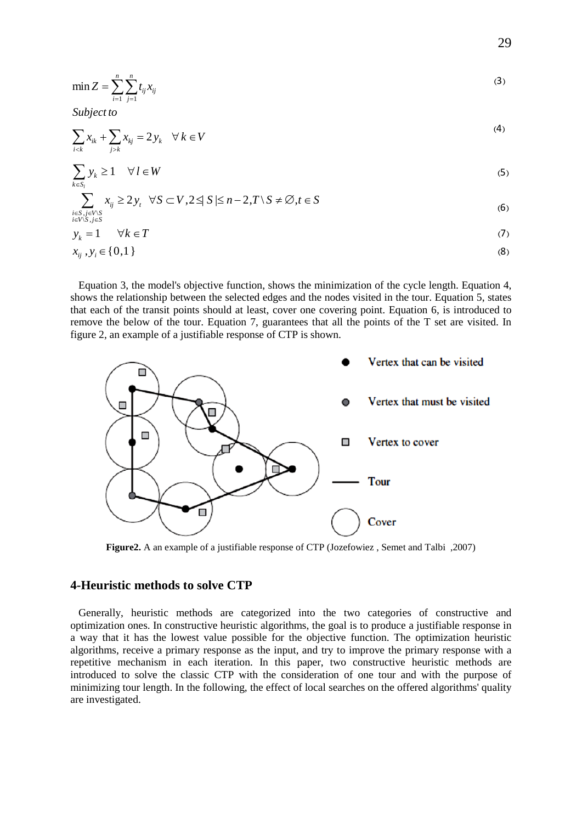$$
\min Z = \sum_{i=1}^{n} \sum_{j=1}^{n} t_{ij} x_{ij}
$$
\n(3)

*Subject to*

$$
\sum_{i < k} x_{ik} + \sum_{j > k} x_{kj} = 2 y_k \quad \forall \, k \in V
$$
\n(4)

$$
\sum_{k \in S_l} y_k \ge 1 \quad \forall l \in W
$$

$$
\sum_{\substack{i \in S, j \in V \setminus S \\ i \in V \setminus S, j \in S}} x_{ij} \ge 2 y_t \quad \forall S \subset V, 2 \le |S| \le n - 2, T \setminus S \ne \emptyset, t \in S \tag{6}
$$

$$
y_k = 1 \qquad \forall k \in T
$$

$$
x_{ij}, y_i \in \{0, 1\}
$$
 (8)

 Equation 3, the model's objective function, shows the minimization of the cycle length. Equation 4, shows the relationship between the selected edges and the nodes visited in the tour. Equation 5, states that each of the transit points should at least, cover one covering point. Equation 6, is introduced to remove the below of the tour. Equation 7, guarantees that all the points of the T set are visited. In figure 2, an example of a justifiable response of CTP is shown.



**Figure2.** A an example of a justifiable response of CTP (Jozefowiez , Semet and Talbi ,2007)

## **4-Heuristic methods to solve CTP**

 Generally, heuristic methods are categorized into the two categories of constructive and optimization ones. In constructive heuristic algorithms, the goal is to produce a justifiable response in a way that it has the lowest value possible for the objective function. The optimization heuristic algorithms, receive a primary response as the input, and try to improve the primary response with a repetitive mechanism in each iteration. In this paper, two constructive heuristic methods are introduced to solve the classic CTP with the consideration of one tour and with the purpose of minimizing tour length. In the following, the effect of local searches on the offered algorithms' quality are investigated.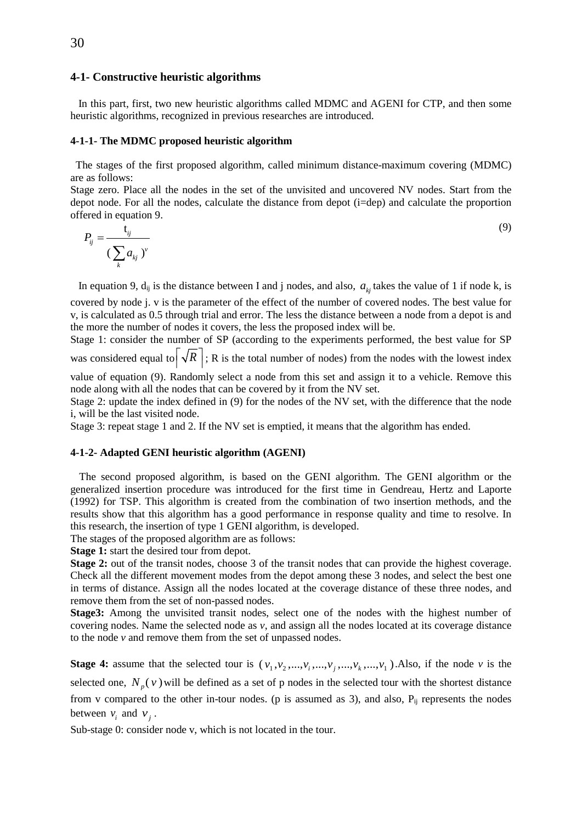## **4-1- Constructive heuristic algorithms**

 In this part, first, two new heuristic algorithms called MDMC and AGENI for CTP, and then some heuristic algorithms, recognized in previous researches are introduced.

#### **4-1-1- The MDMC proposed heuristic algorithm**

 The stages of the first proposed algorithm, called minimum distance-maximum covering (MDMC) are as follows:

Stage zero. Place all the nodes in the set of the unvisited and uncovered NV nodes. Start from the depot node. For all the nodes, calculate the distance from depot (i=dep) and calculate the proportion offered in equation 9.

$$
P_{ij} = \frac{\mathbf{t}_{ij}}{\left(\sum_{k} a_{kj}\right)^{\nu}}
$$
\n(9)

In equation 9,  $d_{ij}$  is the distance between I and j nodes, and also,  $a_{ki}$  takes the value of 1 if node k, is

covered by node j. v is the parameter of the effect of the number of covered nodes. The best value for v, is calculated as 0.5 through trial and error. The less the distance between a node from a depot is and the more the number of nodes it covers, the less the proposed index will be.

Stage 1: consider the number of SP (according to the experiments performed, the best value for SP

was considered equal to  $\sqrt{R}$  ; R is the total number of nodes) from the nodes with the lowest index

value of equation (9). Randomly select a node from this set and assign it to a vehicle. Remove this node along with all the nodes that can be covered by it from the NV set.

Stage 2: update the index defined in (9) for the nodes of the NV set, with the difference that the node i, will be the last visited node.

Stage 3: repeat stage 1 and 2. If the NV set is emptied, it means that the algorithm has ended.

#### **4-1-2- Adapted GENI heuristic algorithm (AGENI)**

 The second proposed algorithm, is based on the GENI algorithm. The GENI algorithm or the generalized insertion procedure was introduced for the first time in Gendreau, Hertz and Laporte (1992) for TSP. This algorithm is created from the combination of two insertion methods, and the results show that this algorithm has a good performance in response quality and time to resolve. In this research, the insertion of type 1 GENI algorithm, is developed.

The stages of the proposed algorithm are as follows:

**Stage 1:** start the desired tour from depot.

**Stage 2:** out of the transit nodes, choose 3 of the transit nodes that can provide the highest coverage. Check all the different movement modes from the depot among these 3 nodes, and select the best one in terms of distance. Assign all the nodes located at the coverage distance of these three nodes, and remove them from the set of non-passed nodes.

**Stage3:** Among the unvisited transit nodes, select one of the nodes with the highest number of covering nodes. Name the selected node as *v*, and assign all the nodes located at its coverage distance to the node *v* and remove them from the set of unpassed nodes.

**Stage 4:** assume that the selected tour is  $(v_1, v_2, ..., v_i, ..., v_i, ..., v_k, ..., v_1)$ . Also, if the node *v* is the selected one,  $N_p(v)$  will be defined as a set of p nodes in the selected tour with the shortest distance from v compared to the other in-tour nodes. (p is assumed as 3), and also,  $P_{ij}$  represents the nodes between  $v_i$  and  $v_j$ .

Sub-stage 0: consider node v, which is not located in the tour.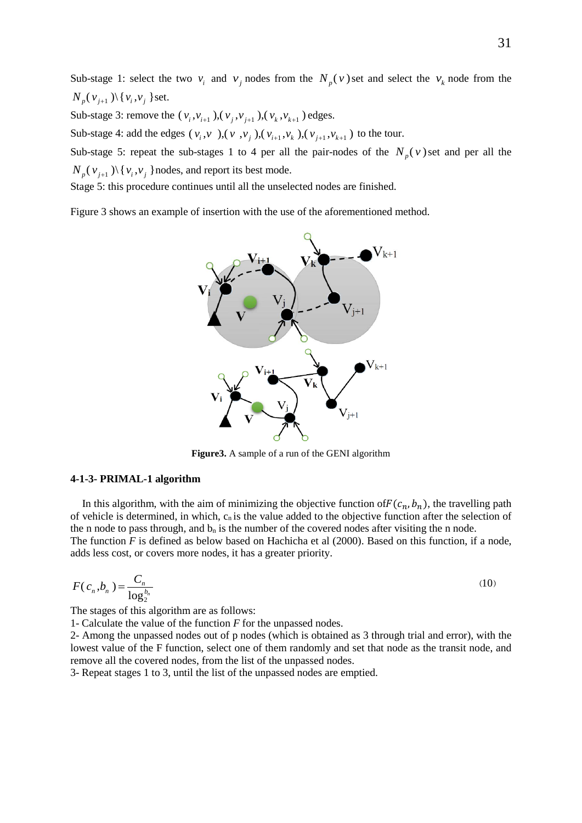Sub-stage 1: select the two  $v_i$  and  $v_j$  nodes from the  $N_p(v)$  set and select the  $v_k$  node from the  $N_{n}(v_{i+1})\$  \{v\_{i}, v\_{i}\}set.

Sub-stage 3: remove the  $(v_i, v_{i+1}), (v_i, v_{i+1}), (v_k, v_{k+1})$  edges.

Sub-stage 4: add the edges  $(v_i, v_j), (v_i, v_i), (v_{i+1}, v_k), (v_{i+1}, v_{k+1})$  to the tour.

Sub-stage 5: repeat the sub-stages 1 to 4 per all the pair-nodes of the  $N_p(v)$  set and per all the  $N_{p}(v_{i+1})\$  \{v\_i, v\_j\} nodes, and report its best mode.

Stage 5: this procedure continues until all the unselected nodes are finished.

Figure 3 shows an example of insertion with the use of the aforementioned method.



**Figure3.** A sample of a run of the GENI algorithm

## **4-1-3- PRIMAL-1 algorithm**

In this algorithm, with the aim of minimizing the objective function of  $F(c_n, b_n)$ , the travelling path of vehicle is determined, in which,  $c_n$  is the value added to the objective function after the selection of the n node to pass through, and  $b_n$  is the number of the covered nodes after visiting the n node. The function *F* is defined as below based on Hachicha et al (2000). Based on this function, if a node, adds less cost, or covers more nodes, it has a greater priority.

$$
F(c_n, b_n) = \frac{C_n}{\log_2^{b_n}}
$$
\n<sup>(10)</sup>

The stages of this algorithm are as follows:

1- Calculate the value of the function *F* for the unpassed nodes.

2- Among the unpassed nodes out of p nodes (which is obtained as 3 through trial and error), with the lowest value of the F function, select one of them randomly and set that node as the transit node, and remove all the covered nodes, from the list of the unpassed nodes.

3- Repeat stages 1 to 3, until the list of the unpassed nodes are emptied.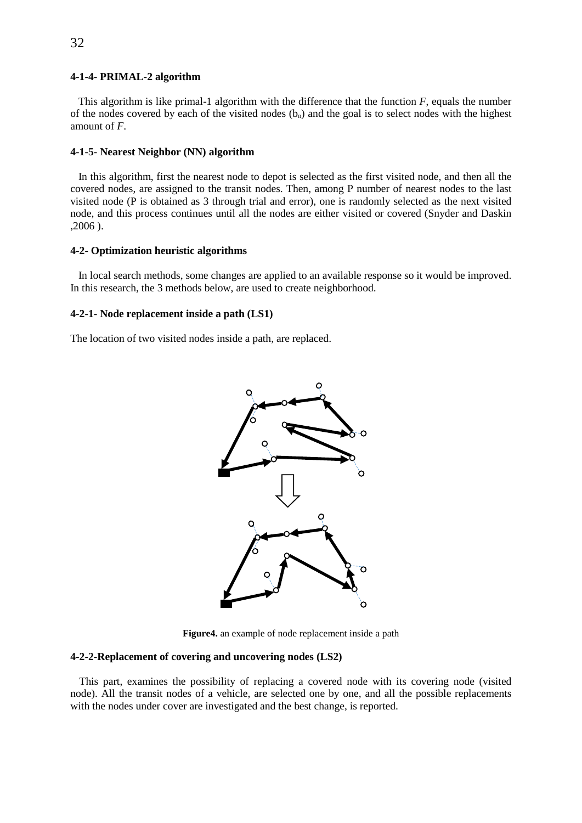#### **4-1-4- PRIMAL-2 algorithm**

 This algorithm is like primal-1 algorithm with the difference that the function *F*, equals the number of the nodes covered by each of the visited nodes  $(b_n)$  and the goal is to select nodes with the highest amount of *F*.

#### **4-1-5- Nearest Neighbor (NN) algorithm**

 In this algorithm, first the nearest node to depot is selected as the first visited node, and then all the covered nodes, are assigned to the transit nodes. Then, among P number of nearest nodes to the last visited node (P is obtained as 3 through trial and error), one is randomly selected as the next visited node, and this process continues until all the nodes are either visited or covered (Snyder and Daskin ,2006 ).

## **4-2- Optimization heuristic algorithms**

 In local search methods, some changes are applied to an available response so it would be improved. In this research, the 3 methods below, are used to create neighborhood.

#### **4-2-1- Node replacement inside a path (LS1)**

The location of two visited nodes inside a path, are replaced.



**Figure4.** an example of node replacement inside a path

### **4-2-2-Replacement of covering and uncovering nodes (LS2)**

 This part, examines the possibility of replacing a covered node with its covering node (visited node). All the transit nodes of a vehicle, are selected one by one, and all the possible replacements with the nodes under cover are investigated and the best change, is reported.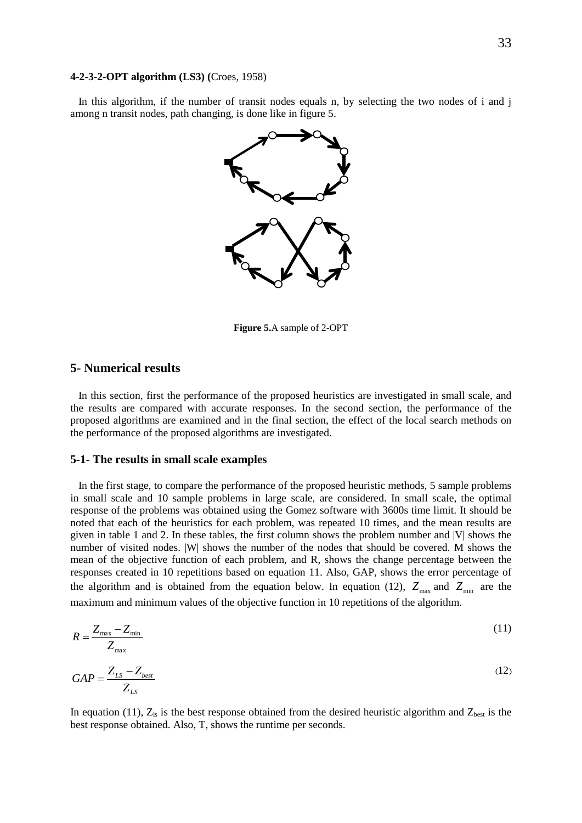#### **4-2-3-2-OPT algorithm (LS3) (**Croes, 1958)

 In this algorithm, if the number of transit nodes equals n, by selecting the two nodes of i and j among n transit nodes, path changing, is done like in figure 5.



**Figure 5.**A sample of 2-OPT

## **5- Numerical results**

 In this section, first the performance of the proposed heuristics are investigated in small scale, and the results are compared with accurate responses. In the second section, the performance of the proposed algorithms are examined and in the final section, the effect of the local search methods on the performance of the proposed algorithms are investigated.

### **5-1- The results in small scale examples**

 In the first stage, to compare the performance of the proposed heuristic methods, 5 sample problems in small scale and 10 sample problems in large scale, are considered. In small scale, the optimal response of the problems was obtained using the Gomez software with 3600s time limit. It should be noted that each of the heuristics for each problem, was repeated 10 times, and the mean results are given in table 1 and 2. In these tables, the first column shows the problem number and |V| shows the number of visited nodes. |W| shows the number of the nodes that should be covered. M shows the mean of the objective function of each problem, and R, shows the change percentage between the responses created in 10 repetitions based on equation 11. Also, GAP, shows the error percentage of the algorithm and is obtained from the equation below. In equation (12),  $Z_{\text{max}}$  and  $Z_{\text{min}}$  are the maximum and minimum values of the objective function in 10 repetitions of the algorithm.

$$
R = \frac{Z_{\text{max}} - Z_{\text{min}}}{Z_{\text{max}}}
$$
(11)

$$
GAP = \frac{Z_{LS} - Z_{best}}{Z_{LS}}
$$
 (12)

In equation (11),  $Z_{ls}$  is the best response obtained from the desired heuristic algorithm and  $Z_{best}$  is the best response obtained. Also, T, shows the runtime per seconds.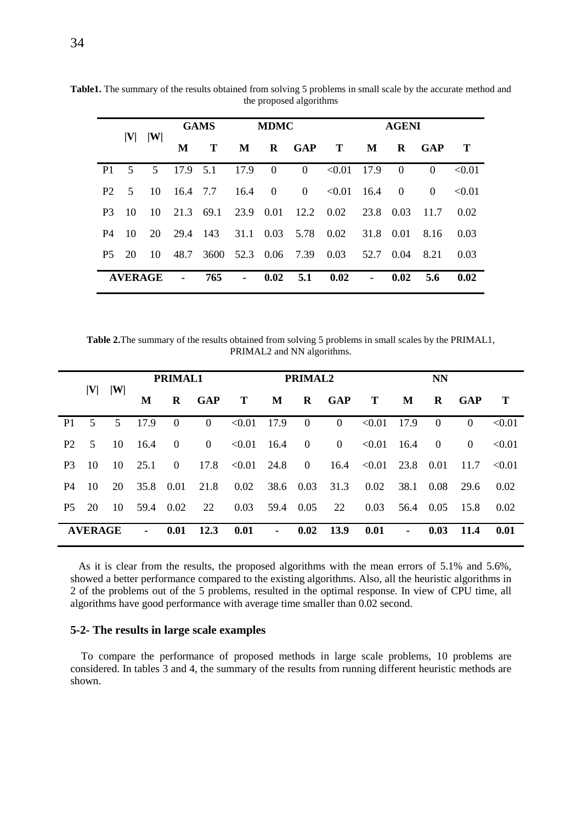|                | V                 |                 | <b>GAMS</b> |                      |   | <b>MDMC</b>    |                  | <b>AGENI</b>                                            |   |                |              |              |  |  |
|----------------|-------------------|-----------------|-------------|----------------------|---|----------------|------------------|---------------------------------------------------------|---|----------------|--------------|--------------|--|--|
|                |                   | W               | М           | T                    | M |                | R GAP T          |                                                         | M |                | R GAP        | $\mathbf{T}$ |  |  |
|                |                   | P1 5 5          |             | 17.9 5.1 17.9        |   | $\overline{0}$ |                  | $0 \le 0.01$ 17.9                                       |   | $\overline{0}$ | $\mathbf{0}$ | < 0.01       |  |  |
| P2             |                   |                 |             | 5 10 16.4 7.7 16.4 0 |   |                |                  | $0 \quad <0.01 \quad 16.4$                              |   | $\overline{0}$ | $\Omega$     | < 0.01       |  |  |
| P <sub>3</sub> |                   |                 |             |                      |   |                |                  | 10 10 21.3 69.1 23.9 0.01 12.2 0.02 23.8 0.03 11.7 0.02 |   |                |              |              |  |  |
| P4             | -10-              |                 |             |                      |   |                |                  | 20 29.4 143 31.1 0.03 5.78 0.02 31.8 0.01 8.16 0.03     |   |                |              |              |  |  |
|                | P <sub>5</sub> 20 | $\overline{10}$ |             |                      |   |                |                  | 48.7 3600 52.3 0.06 7.39 0.03 52.7 0.04 8.21            |   |                |              | 0.03         |  |  |
|                | <b>AVERAGE</b>    |                 | $\sim 100$  | 765                  |   |                | $-0.02$ 5.1 0.02 |                                                         |   | $-0.02$        | 5.6          | 0.02         |  |  |

**Table1.** The summary of the results obtained from solving 5 problems in small scale by the accurate method and the proposed algorithms

**Table 2.**The summary of the results obtained from solving 5 problems in small scales by the PRIMAL1, PRIMAL2 and NN algorithms.

|                |                |      | <b>PRIMAL1</b> |          |          |                                                   |   | <b>PRIMAL2</b>          |             |                                               | <b>NN</b>  |                         |          |              |  |
|----------------|----------------|------|----------------|----------|----------|---------------------------------------------------|---|-------------------------|-------------|-----------------------------------------------|------------|-------------------------|----------|--------------|--|
|                | V              | W    | M              |          | R GAP    | T                                                 | M |                         | R GAP       | $\mathbf{T}$                                  | M          |                         | R GAP    | $\mathbf{T}$ |  |
| <b>P1</b>      | $\overline{5}$ | 5    | 17.9           | $\theta$ | $\theta$ | $< 0.01$ 17.9                                     |   | $\hspace{0.6cm}0$       |             | 0 $< 0.01$ 17.9                               |            | $\overline{\mathbf{0}}$ | $\theta$ | < 0.01       |  |
| <b>P2</b>      | $\sim$         | 10   | -16.4          | $\theta$ |          | 0 $< 0.01$ 16.4                                   |   | $\overline{\mathbf{0}}$ |             | $0 \le 0.01$ 16.4                             |            | $\overline{0}$          | $\Omega$ | < 0.01       |  |
| P <sub>3</sub> | - 10 -         | - 10 | 25.1           |          |          | 0 17.8 $< 0.01$ 24.8                              |   |                         |             | 0 16.4 $\leq 0.01$ 23.8 0.01 11.7 $\leq 0.01$ |            |                         |          |              |  |
| P4             | - 10           | 20   |                |          |          | 35.8 0.01 21.8 0.02 38.6 0.03 31.3 0.02 38.1 0.08 |   |                         |             |                                               |            |                         | 29.6     | 0.02         |  |
| <b>P5</b>      | 20             | 10   | 59.4 0.02      |          |          | 22 0.03 59.4 0.05                                 |   |                         |             | 22 0.03 56.4 0.05 15.8                        |            |                         |          | 0.02         |  |
| <b>AVERAGE</b> |                |      | ٠              | 0.01     | 12.3     | 0.01                                              |   | $-0.02$                 | <b>13.9</b> | 0.01                                          | $\sim 100$ | 0.03                    | 11.4     | 0.01         |  |

 As it is clear from the results, the proposed algorithms with the mean errors of 5.1% and 5.6%, showed a better performance compared to the existing algorithms. Also, all the heuristic algorithms in 2 of the problems out of the 5 problems, resulted in the optimal response. In view of CPU time, all algorithms have good performance with average time smaller than 0.02 second.

## **5-2- The results in large scale examples**

 To compare the performance of proposed methods in large scale problems, 10 problems are considered. In tables 3 and 4, the summary of the results from running different heuristic methods are shown.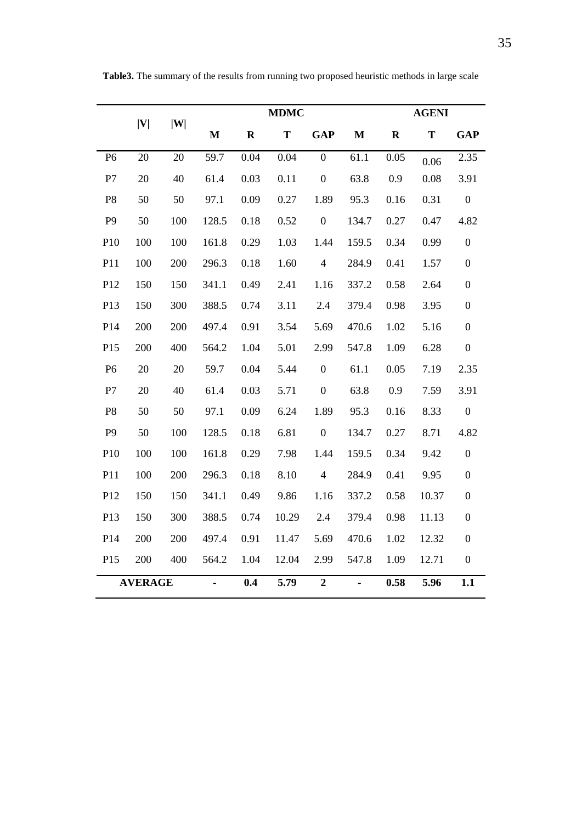|                 |     |                |                |             | <b>MDMC</b> |                  |                |         | <b>AGENI</b> |                  |
|-----------------|-----|----------------|----------------|-------------|-------------|------------------|----------------|---------|--------------|------------------|
|                 | V   | $ \mathbf{W} $ | M              | $\mathbf R$ | T           | <b>GAP</b>       | M              | $\bf R$ | T            | <b>GAP</b>       |
| P <sub>6</sub>  | 20  | 20             | 59.7           | 0.04        | 0.04        | $\boldsymbol{0}$ | 61.1           | 0.05    | 0.06         | 2.35             |
| P7              | 20  | 40             | 61.4           | 0.03        | 0.11        | $\boldsymbol{0}$ | 63.8           | 0.9     | 0.08         | 3.91             |
| P <sub>8</sub>  | 50  | 50             | 97.1           | 0.09        | 0.27        | 1.89             | 95.3           | 0.16    | 0.31         | $\boldsymbol{0}$ |
| P <sub>9</sub>  | 50  | 100            | 128.5          | 0.18        | 0.52        | $\boldsymbol{0}$ | 134.7          | 0.27    | 0.47         | 4.82             |
| P10             | 100 | 100            | 161.8          | 0.29        | 1.03        | 1.44             | 159.5          | 0.34    | 0.99         | $\boldsymbol{0}$ |
| P11             | 100 | 200            | 296.3          | 0.18        | 1.60        | $\overline{4}$   | 284.9          | 0.41    | 1.57         | $\boldsymbol{0}$ |
| P12             | 150 | 150            | 341.1          | 0.49        | 2.41        | 1.16             | 337.2          | 0.58    | 2.64         | $\boldsymbol{0}$ |
| P13             | 150 | 300            | 388.5          | 0.74        | 3.11        | 2.4              | 379.4          | 0.98    | 3.95         | $\boldsymbol{0}$ |
| P <sub>14</sub> | 200 | 200            | 497.4          | 0.91        | 3.54        | 5.69             | 470.6          | 1.02    | 5.16         | $\boldsymbol{0}$ |
| P15             | 200 | 400            | 564.2          | 1.04        | 5.01        | 2.99             | 547.8          | 1.09    | 6.28         | $\boldsymbol{0}$ |
| P <sub>6</sub>  | 20  | 20             | 59.7           | 0.04        | 5.44        | $\boldsymbol{0}$ | 61.1           | 0.05    | 7.19         | 2.35             |
| P7              | 20  | 40             | 61.4           | 0.03        | 5.71        | $\boldsymbol{0}$ | 63.8           | 0.9     | 7.59         | 3.91             |
| P <sub>8</sub>  | 50  | 50             | 97.1           | 0.09        | 6.24        | 1.89             | 95.3           | 0.16    | 8.33         | $\boldsymbol{0}$ |
| P <sub>9</sub>  | 50  | 100            | 128.5          | 0.18        | 6.81        | $\boldsymbol{0}$ | 134.7          | 0.27    | 8.71         | 4.82             |
| P10             | 100 | 100            | 161.8          | 0.29        | 7.98        | 1.44             | 159.5          | 0.34    | 9.42         | $\mathbf{0}$     |
| P11             | 100 | 200            | 296.3          | 0.18        | 8.10        | $\overline{4}$   | 284.9          | 0.41    | 9.95         | $\boldsymbol{0}$ |
| P12             | 150 | 150            | 341.1          | 0.49        | 9.86        | 1.16             | 337.2          | 0.58    | 10.37        | $\boldsymbol{0}$ |
| P13             | 150 | 300            | 388.5          | 0.74        | 10.29       | 2.4              | 379.4          | 0.98    | 11.13        | $\boldsymbol{0}$ |
| P <sub>14</sub> | 200 | 200            | 497.4          | 0.91        | 11.47       | 5.69             | 470.6          | 1.02    | 12.32        | $\boldsymbol{0}$ |
| P15             | 200 | 400            | 564.2          | 1.04        | 12.04       | 2.99             | 547.8          | 1.09    | 12.71        | $\boldsymbol{0}$ |
| <b>AVERAGE</b>  |     |                | $\blacksquare$ | 0.4         | 5.79        | $\overline{2}$   | $\blacksquare$ | 0.58    | 5.96         | 1.1              |

**Table3.** The summary of the results from running two proposed heuristic methods in large scale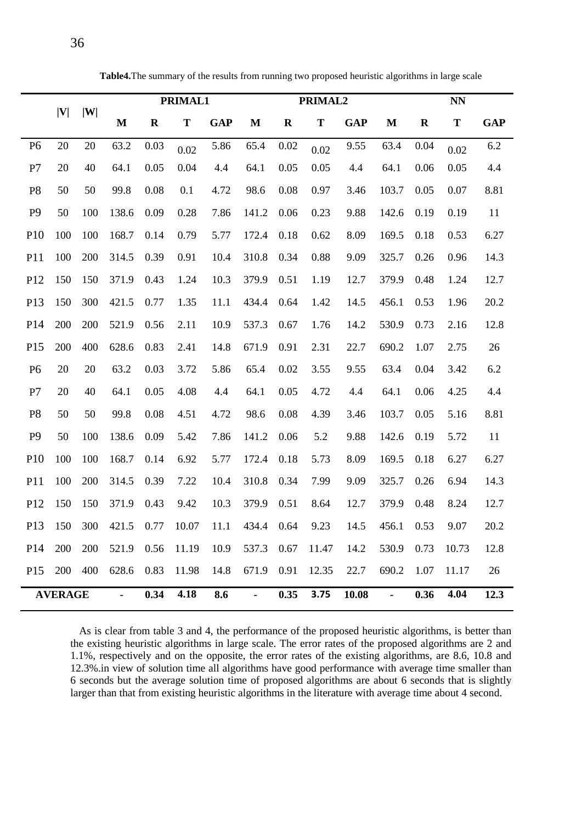|                |                |     |                |             | PRIMAL1 |            |       |             | PRIMAL2     |            |             |             | NN    |            |  |  |
|----------------|----------------|-----|----------------|-------------|---------|------------|-------|-------------|-------------|------------|-------------|-------------|-------|------------|--|--|
|                | V              | W   | $\mathbf{M}$   | $\mathbf R$ | T       | <b>GAP</b> | M     | $\mathbf R$ | $\mathbf T$ | <b>GAP</b> | $\mathbf M$ | $\mathbf R$ | T     | <b>GAP</b> |  |  |
| <b>P6</b>      | 20             | 20  | 63.2           | 0.03        | 0.02    | 5.86       | 65.4  | 0.02        | 0.02        | 9.55       | 63.4        | 0.04        | 0.02  | 6.2        |  |  |
| P7             | 20             | 40  | 64.1           | 0.05        | 0.04    | 4.4        | 64.1  | 0.05        | 0.05        | 4.4        | 64.1        | 0.06        | 0.05  | 4.4        |  |  |
| P <sub>8</sub> | 50             | 50  | 99.8           | 0.08        | 0.1     | 4.72       | 98.6  | 0.08        | 0.97        | 3.46       | 103.7       | 0.05        | 0.07  | 8.81       |  |  |
| P <sub>9</sub> | 50             | 100 | 138.6          | 0.09        | 0.28    | 7.86       | 141.2 | 0.06        | 0.23        | 9.88       | 142.6       | 0.19        | 0.19  | 11         |  |  |
| P10            | 100            | 100 | 168.7          | 0.14        | 0.79    | 5.77       | 172.4 | 0.18        | 0.62        | 8.09       | 169.5       | 0.18        | 0.53  | 6.27       |  |  |
| P11            | 100            | 200 | 314.5          | 0.39        | 0.91    | 10.4       | 310.8 | 0.34        | 0.88        | 9.09       | 325.7       | 0.26        | 0.96  | 14.3       |  |  |
| P12            | 150            | 150 | 371.9          | 0.43        | 1.24    | 10.3       | 379.9 | 0.51        | 1.19        | 12.7       | 379.9       | 0.48        | 1.24  | 12.7       |  |  |
| P13            | 150            | 300 | 421.5          | 0.77        | 1.35    | 11.1       | 434.4 | 0.64        | 1.42        | 14.5       | 456.1       | 0.53        | 1.96  | 20.2       |  |  |
| P14            | 200            | 200 | 521.9          | 0.56        | 2.11    | 10.9       | 537.3 | 0.67        | 1.76        | 14.2       | 530.9       | 0.73        | 2.16  | 12.8       |  |  |
| P15            | 200            | 400 | 628.6          | 0.83        | 2.41    | 14.8       | 671.9 | 0.91        | 2.31        | 22.7       | 690.2       | 1.07        | 2.75  | 26         |  |  |
| <b>P6</b>      | 20             | 20  | 63.2           | 0.03        | 3.72    | 5.86       | 65.4  | 0.02        | 3.55        | 9.55       | 63.4        | 0.04        | 3.42  | 6.2        |  |  |
| P7             | 20             | 40  | 64.1           | 0.05        | 4.08    | 4.4        | 64.1  | 0.05        | 4.72        | 4.4        | 64.1        | 0.06        | 4.25  | 4.4        |  |  |
| P <sub>8</sub> | 50             | 50  | 99.8           | 0.08        | 4.51    | 4.72       | 98.6  | 0.08        | 4.39        | 3.46       | 103.7       | 0.05        | 5.16  | 8.81       |  |  |
| P <sub>9</sub> | 50             | 100 | 138.6          | 0.09        | 5.42    | 7.86       | 141.2 | 0.06        | 5.2         | 9.88       | 142.6       | 0.19        | 5.72  | 11         |  |  |
| P10            | 100            | 100 | 168.7          | 0.14        | 6.92    | 5.77       | 172.4 | 0.18        | 5.73        | 8.09       | 169.5       | 0.18        | 6.27  | 6.27       |  |  |
| P11            | 100            | 200 | 314.5          | 0.39        | 7.22    | 10.4       | 310.8 | 0.34        | 7.99        | 9.09       | 325.7       | 0.26        | 6.94  | 14.3       |  |  |
| P12            | 150            | 150 | 371.9          | 0.43        | 9.42    | 10.3       | 379.9 | 0.51        | 8.64        | 12.7       | 379.9       | 0.48        | 8.24  | 12.7       |  |  |
| P13            | 150            | 300 | 421.5          | 0.77        | 10.07   | 11.1       | 434.4 | 0.64        | 9.23        | 14.5       | 456.1       | 0.53        | 9.07  | 20.2       |  |  |
| P14            | 200            | 200 | 521.9          | 0.56        | 11.19   | 10.9       | 537.3 | 0.67        | 11.47       | 14.2       | 530.9       | 0.73        | 10.73 | 12.8       |  |  |
| P15            | 200            | 400 | 628.6          | 0.83        | 11.98   | 14.8       | 671.9 | 0.91        | 12.35       | 22.7       | 690.2       | 1.07        | 11.17 | 26         |  |  |
|                | <b>AVERAGE</b> |     | $\blacksquare$ | 0.34        | 4.18    | 8.6        | L.    | 0.35        | 3.75        | 10.08      | ä,          | 0.36        | 4.04  | 12.3       |  |  |

**Table4.**The summary of the results from running two proposed heuristic algorithms in large scale

 As is clear from table 3 and 4, the performance of the proposed heuristic algorithms, is better than the existing heuristic algorithms in large scale. The error rates of the proposed algorithms are 2 and 1.1%, respectively and on the opposite, the error rates of the existing algorithms, are 8.6, 10.8 and 12.3%.in view of solution time all algorithms have good performance with average time smaller than 6 seconds but the average solution time of proposed algorithms are about 6 seconds that is slightly larger than that from existing heuristic algorithms in the literature with average time about 4 second.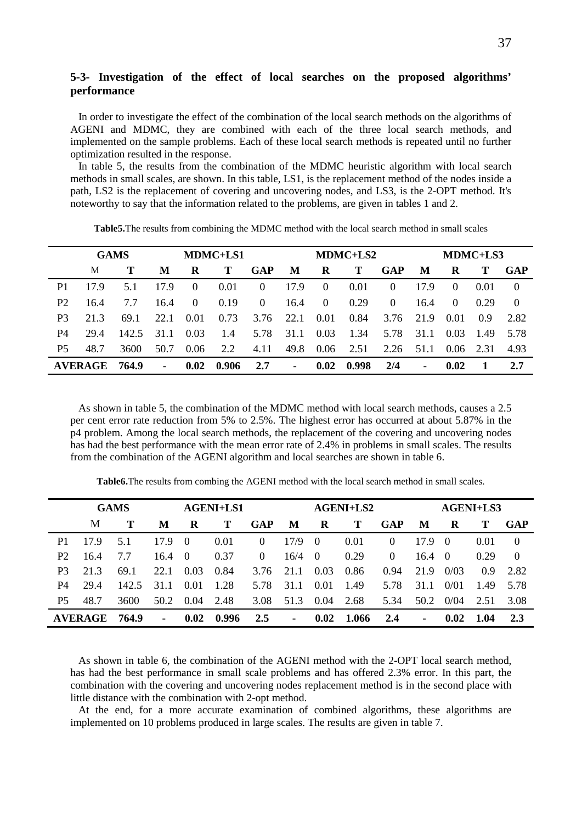## **5-3- Investigation of the effect of local searches on the proposed algorithms' performance**

 In order to investigate the effect of the combination of the local search methods on the algorithms of AGENI and MDMC, they are combined with each of the three local search methods, and implemented on the sample problems. Each of these local search methods is repeated until no further optimization resulted in the response.

 In table 5, the results from the combination of the MDMC heuristic algorithm with local search methods in small scales, are shown. In this table, LS1, is the replacement method of the nodes inside a path, LS2 is the replacement of covering and uncovering nodes, and LS3, is the 2-OPT method. It's noteworthy to say that the information related to the problems, are given in tables 1 and 2.

|                | <b>GAMS</b>    |       | <b>MDMC+LS1</b> |          |       |          |      |          | <b>MDMC+LS2</b> |          | <b>MDMC+LS3</b> |          |       |          |
|----------------|----------------|-------|-----------------|----------|-------|----------|------|----------|-----------------|----------|-----------------|----------|-------|----------|
|                | M              |       | M               | R        | T     | GAP      | M    | R        | Т               | GAP      | M               | R        | Т     | GAP      |
| P1             | 179            | 5.1   | 179             | $\theta$ | 0.01  | $\theta$ | 17.9 | $\theta$ | 0.01            | $\theta$ | 179             | $\Omega$ | 0.01  | $\theta$ |
| P <sub>2</sub> | 16.4           | 7.7   | 16.4            | $\theta$ | 0.19  | $\theta$ | 16.4 | $\Omega$ | 0.29            | $\Omega$ | 16.4            | $\Omega$ | 0.29  | $\Omega$ |
| P <sub>3</sub> | 21.3           | 69.1  | 22.1            | 0.01     | 0.73  | 3.76     | 22.1 | 0.01     | 0.84            | 3.76     | 21.9            | 0.01     | 0.9   | 2.82     |
| P4             | 29.4           | 142.5 | 31.1            | 0.03     | 1.4   | 5.78     | 31.1 | 0.03     | 1.34            | 5.78     | 31.1            | 0.03     | -1.49 | 5.78     |
| <b>P5</b>      | 48.7           | 3600  | 50.7            | 0.06     | 2.2   | 4.11     | 49.8 | 0.06     | 2.51            | 2.26     | 51.1            | 0.06     | 2.31  | 4.93     |
|                | <b>AVERAGE</b> | 764.9 | ۰.              | 0.02     | 0.906 | 2.7      | ۰    | 0.02     | 0.998           | 2/4      | ۰               | 0.02     |       | 2.7      |

**Table5.**The results from combining the MDMC method with the local search method in small scales

 As shown in table 5, the combination of the MDMC method with local search methods, causes a 2.5 per cent error rate reduction from 5% to 2.5%. The highest error has occurred at about 5.87% in the p4 problem. Among the local search methods, the replacement of the covering and uncovering nodes has had the best performance with the mean error rate of 2.4% in problems in small scales. The results from the combination of the AGENI algorithm and local searches are shown in table 6.

**Table6.**The results from combing the AGENI method with the local search method in small scales.

|                | <b>GAMS</b>    |       |      | <b>AGENI+LS1</b> |       |          |      | <b>AGENI+LS2</b> |       | <b>AGENI+LS3</b> |      |                  |      |          |
|----------------|----------------|-------|------|------------------|-------|----------|------|------------------|-------|------------------|------|------------------|------|----------|
|                | M              |       | M    | R                | Т     | GAP      | M    | R                | Т     | GAP              | M    | R                |      | GAP      |
| P <sub>1</sub> | 17.9           | 5.1   | 17.9 | $\Omega$         | 0.01  | 0        | 17/9 | $\Omega$         | 0.01  | $\Omega$         | 17.9 | $\left( \right)$ | 0.01 | $\theta$ |
| P <sub>2</sub> | 16.4           | 7.7   | 16.4 | $\theta$         | 0.37  | $\Omega$ | 16/4 | $\theta$         | 0.29  | $\theta$         | 16.4 | $\Omega$         | 0.29 | $\theta$ |
| P <sub>3</sub> | 21.3           | 69.1  | 22.1 | 0.03             | 0.84  | 3.76     | 21 1 | 0.03             | 0.86  | 0.94             | 21.9 | 0/03             | 0.9  | 2.82     |
| P4             | 29.4           | 142.5 | 31.1 | 0.01             | 1.28  | 5.78     | 31.1 | 0.01             | 1.49  | 5.78             | 31.1 | 0/01             | 1.49 | 5.78     |
| <b>P5</b>      | 48.7           | 3600  | 50.2 | 0.04             | 2.48  | 3.08     | 51.3 | 0.04             | 2.68  | 5.34             | 50.2 | 0/04             | 2.51 | 3.08     |
|                | <b>AVERAGE</b> | 764.9 | ۰.   | 0.02             | 0.996 | 2.5      | ٠    | 0.02             | 1.066 | 2.4              | ۰.   | 0.02             | 1.04 | 2.3      |

 As shown in table 6, the combination of the AGENI method with the 2-OPT local search method, has had the best performance in small scale problems and has offered 2.3% error. In this part, the combination with the covering and uncovering nodes replacement method is in the second place with little distance with the combination with 2-opt method.

 At the end, for a more accurate examination of combined algorithms, these algorithms are implemented on 10 problems produced in large scales. The results are given in table 7.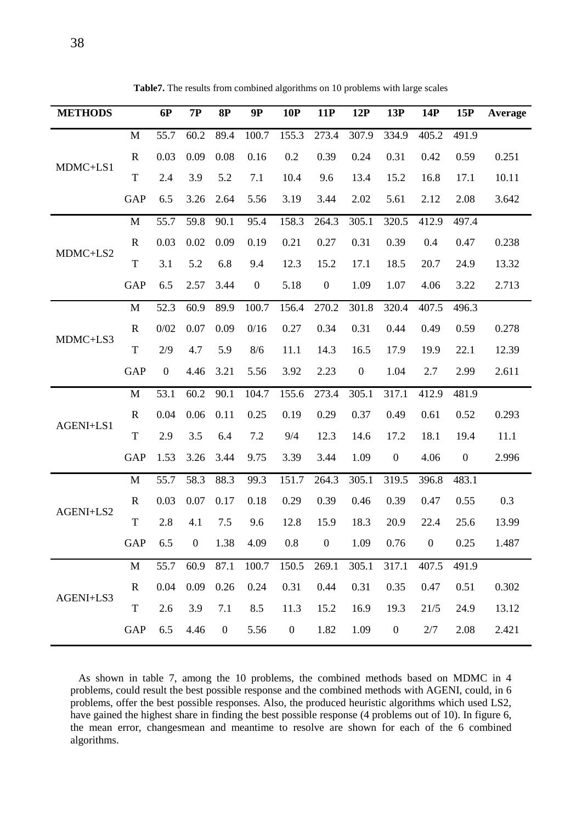| <b>METHODS</b> |              | 6P                | 7P               | <b>8P</b>        | <b>9P</b>        | 10P              | 11P              | 12P              | 13P              | 14P              | 15P              | Average |
|----------------|--------------|-------------------|------------------|------------------|------------------|------------------|------------------|------------------|------------------|------------------|------------------|---------|
|                | M            | $\overline{55.7}$ | 60.2             | 89.4             | 100.7            | 155.3            | 273.4            | 307.9            | 334.9            | 405.2            | 491.9            |         |
| MDMC+LS1       | $\mathbf R$  | 0.03              | 0.09             | 0.08             | 0.16             | 0.2              | 0.39             | 0.24             | 0.31             | 0.42             | 0.59             | 0.251   |
|                | T            | 2.4               | 3.9              | 5.2              | 7.1              | 10.4             | 9.6              | 13.4             | 15.2             | 16.8             | 17.1             | 10.11   |
|                | GAP          | 6.5               | 3.26             | 2.64             | 5.56             | 3.19             | 3.44             | 2.02             | 5.61             | 2.12             | 2.08             | 3.642   |
|                | $\mathbf{M}$ | 55.7              | 59.8             | 90.1             | 95.4             | 158.3            | 264.3            | 305.1            | 320.5            | 412.9            | 497.4            |         |
|                | $\mathbf R$  | 0.03              | 0.02             | 0.09             | 0.19             | 0.21             | 0.27             | 0.31             | 0.39             | 0.4              | 0.47             | 0.238   |
| MDMC+LS2       | $\mathbf T$  | 3.1               | 5.2              | 6.8              | 9.4              | 12.3             | 15.2             | 17.1             | 18.5             | 20.7             | 24.9             | 13.32   |
|                | <b>GAP</b>   | 6.5               | 2.57             | 3.44             | $\boldsymbol{0}$ | 5.18             | $\boldsymbol{0}$ | 1.09             | 1.07             | 4.06             | 3.22             | 2.713   |
|                | M            | 52.3              | 60.9             | 89.9             | 100.7            | 156.4            | 270.2            | 301.8            | 320.4            | 407.5            | 496.3            |         |
|                | $\mathbf R$  | 0/02              | 0.07             | 0.09             | 0/16             | 0.27             | 0.34             | 0.31             | 0.44             | 0.49             | 0.59             | 0.278   |
| MDMC+LS3       | T            | 2/9               | 4.7              | 5.9              | 8/6              | 11.1             | 14.3             | 16.5             | 17.9             | 19.9             | 22.1             | 12.39   |
|                | <b>GAP</b>   | $\boldsymbol{0}$  | 4.46             | 3.21             | 5.56             | 3.92             | 2.23             | $\boldsymbol{0}$ | 1.04             | 2.7              | 2.99             | 2.611   |
|                | $\mathbf{M}$ | 53.1              | 60.2             | 90.1             | 104.7            | 155.6            | 273.4            | 305.1            | 317.1            | 412.9            | 481.9            |         |
|                | $\mathbf R$  | 0.04              | 0.06             | 0.11             | 0.25             | 0.19             | 0.29             | 0.37             | 0.49             | 0.61             | 0.52             | 0.293   |
| AGENI+LS1      | T            | 2.9               | 3.5              | 6.4              | 7.2              | 9/4              | 12.3             | 14.6             | 17.2             | 18.1             | 19.4             | 11.1    |
|                | <b>GAP</b>   | 1.53              | 3.26             | 3.44             | 9.75             | 3.39             | 3.44             | 1.09             | $\mathbf{0}$     | 4.06             | $\boldsymbol{0}$ | 2.996   |
|                | M            | 55.7              | 58.3             | 88.3             | 99.3             | 151.7            | 264.3            | 305.1            | 319.5            | 396.8            | 483.1            |         |
| AGENI+LS2      | $\mathbf R$  | 0.03              | 0.07             | 0.17             | 0.18             | 0.29             | 0.39             | 0.46             | 0.39             | 0.47             | 0.55             | 0.3     |
|                | T            | 2.8               | 4.1              | 7.5              | 9.6              | 12.8             | 15.9             | 18.3             | 20.9             | 22.4             | 25.6             | 13.99   |
|                | GAP          | 6.5               | $\boldsymbol{0}$ | 1.38             | 4.09             | 0.8              | $\boldsymbol{0}$ | 1.09             | 0.76             | $\boldsymbol{0}$ | 0.25             | 1.487   |
|                | $\mathbf M$  | 55.7              | 60.9             | 87.1             | 100.7            | 150.5            | 269.1            | 305.1            | 317.1            | 407.5            | 491.9            |         |
| AGENI+LS3      | $\mathbf R$  | 0.04              | 0.09             | 0.26             | 0.24             | 0.31             | 0.44             | 0.31             | 0.35             | 0.47             | 0.51             | 0.302   |
|                | T            | 2.6               | 3.9              | 7.1              | 8.5              | 11.3             | 15.2             | 16.9             | 19.3             | 21/5             | 24.9             | 13.12   |
|                | GAP          | 6.5               | 4.46             | $\boldsymbol{0}$ | 5.56             | $\boldsymbol{0}$ | 1.82             | 1.09             | $\boldsymbol{0}$ | 2/7              | 2.08             | 2.421   |

**Table7.** The results from combined algorithms on 10 problems with large scales

 As shown in table 7, among the 10 problems, the combined methods based on MDMC in 4 problems, could result the best possible response and the combined methods with AGENI, could, in 6 problems, offer the best possible responses. Also, the produced heuristic algorithms which used LS2, have gained the highest share in finding the best possible response (4 problems out of 10). In figure 6, the mean error, changesmean and meantime to resolve are shown for each of the 6 combined algorithms.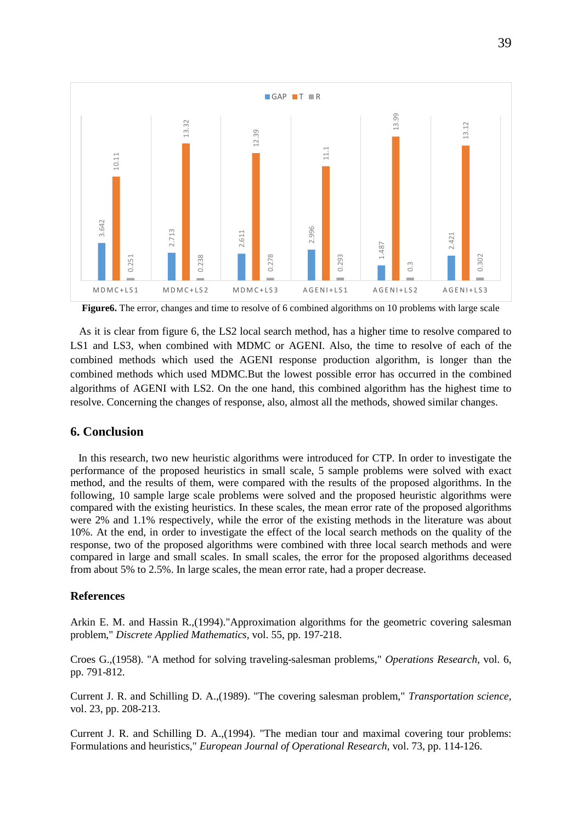

**Figure6.** The error, changes and time to resolve of 6 combined algorithms on 10 problems with large scale

 As it is clear from figure 6, the LS2 local search method, has a higher time to resolve compared to LS1 and LS3, when combined with MDMC or AGENI. Also, the time to resolve of each of the combined methods which used the AGENI response production algorithm, is longer than the combined methods which used MDMC.But the lowest possible error has occurred in the combined algorithms of AGENI with LS2. On the one hand, this combined algorithm has the highest time to resolve. Concerning the changes of response, also, almost all the methods, showed similar changes.

## **6. Conclusion**

 In this research, two new heuristic algorithms were introduced for CTP. In order to investigate the performance of the proposed heuristics in small scale, 5 sample problems were solved with exact method, and the results of them, were compared with the results of the proposed algorithms. In the following, 10 sample large scale problems were solved and the proposed heuristic algorithms were compared with the existing heuristics. In these scales, the mean error rate of the proposed algorithms were 2% and 1.1% respectively, while the error of the existing methods in the literature was about 10%. At the end, in order to investigate the effect of the local search methods on the quality of the response, two of the proposed algorithms were combined with three local search methods and were compared in large and small scales. In small scales, the error for the proposed algorithms deceased from about 5% to 2.5%. In large scales, the mean error rate, had a proper decrease.

### **References**

Arkin E. M. and Hassin R.,(1994)."Approximation algorithms for the geometric covering salesman problem," *Discrete Applied Mathematics,* vol. 55, pp. 197-218.

Croes G.,(1958). "A method for solving traveling-salesman problems," *Operations Research,* vol. 6, pp. 791-812.

Current J. R. and Schilling D. A.,(1989). "The covering salesman problem," *Transportation science,*  vol. 23, pp. 208-213.

Current J. R. and Schilling D. A.,(1994). "The median tour and maximal covering tour problems: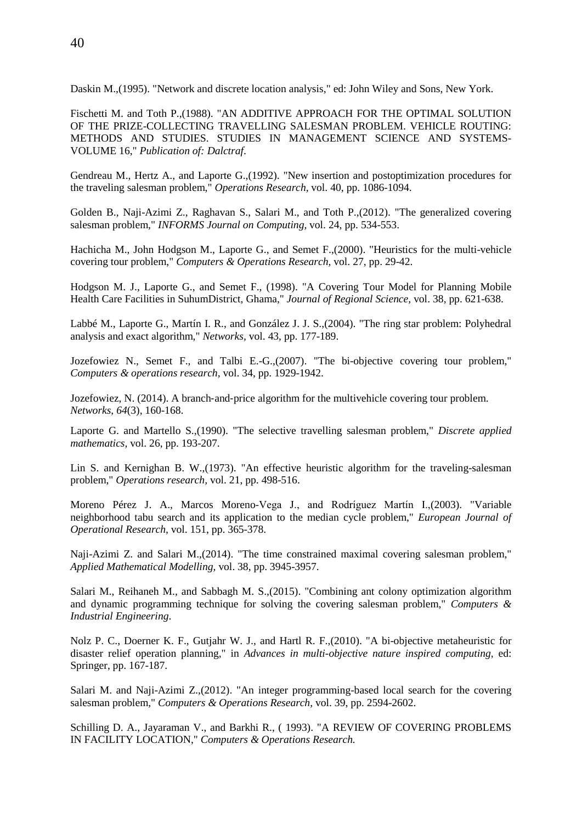Daskin M.,(1995). "Network and discrete location analysis," ed: John Wiley and Sons, New York.

Fischetti M. and Toth P.,(1988). "AN ADDITIVE APPROACH FOR THE OPTIMAL SOLUTION OF THE PRIZE-COLLECTING TRAVELLING SALESMAN PROBLEM. VEHICLE ROUTING: METHODS AND STUDIES. STUDIES IN MANAGEMENT SCIENCE AND SYSTEMS-VOLUME 16," *Publication of: Dalctraf*.

Gendreau M., Hertz A., and Laporte G.,(1992). "New insertion and postoptimization procedures for the traveling salesman problem," *Operations Research,* vol. 40, pp. 1086-1094.

Golden B., Naji-Azimi Z., Raghavan S., Salari M., and Toth P.,(2012). "The generalized covering salesman problem," *INFORMS Journal on Computing,* vol. 24, pp. 534-553.

Hachicha M., John Hodgson M., Laporte G., and Semet F.,(2000). "Heuristics for the multi-vehicle covering tour problem," *Computers & Operations Research,* vol. 27, pp. 29-42.

Hodgson M. J., Laporte G., and Semet F., (1998). "A Covering Tour Model for Planning Mobile Health Care Facilities in SuhumDistrict, Ghama," *Journal of Regional Science,* vol. 38, pp. 621-638.

Labbé M., Laporte G., Martín I. R., and González J. J. S.,(2004). "The ring star problem: Polyhedral analysis and exact algorithm," *Networks,* vol. 43, pp. 177-189.

Jozefowiez N., Semet F., and Talbi E.-G.,(2007). "The bi-objective covering tour problem," *Computers & operations research,* vol. 34, pp. 1929-1942.

Jozefowiez, N. (2014). A branch-and-price algorithm for the multivehicle covering tour problem. *Networks*, *64*(3), 160-168.

Laporte G. and Martello S.,(1990). "The selective travelling salesman problem," *Discrete applied mathematics,* vol. 26, pp. 193-207.

Lin S. and Kernighan B. W.,(1973). "An effective heuristic algorithm for the traveling-salesman problem," *Operations research,* vol. 21, pp. 498-516.

Moreno Pérez J. A., Marcos Moreno-Vega J., and Rodríguez Martín I., (2003). "Variable neighborhood tabu search and its application to the median cycle problem," *European Journal of Operational Research,* vol. 151, pp. 365-378.

Naji-Azimi Z. and Salari M.,(2014). "The time constrained maximal covering salesman problem," *Applied Mathematical Modelling,* vol. 38, pp. 3945-3957.

Salari M., Reihaneh M., and Sabbagh M. S.,(2015). "Combining ant colony optimization algorithm and dynamic programming technique for solving the covering salesman problem," *Computers & Industrial Engineering*.

Nolz P. C., Doerner K. F., Gutjahr W. J., and Hartl R. F.,(2010). "A bi-objective metaheuristic for disaster relief operation planning," in *Advances in multi-objective nature inspired computing*, ed: Springer, pp. 167-187.

Salari M. and Naji-Azimi Z.,(2012). "An integer programming-based local search for the covering salesman problem," *Computers & Operations Research,* vol. 39, pp. 2594-2602.

Schilling D. A., Jayaraman V., and Barkhi R., ( 1993). "A REVIEW OF COVERING PROBLEMS IN FACILITY LOCATION," *Computers & Operations Research.*